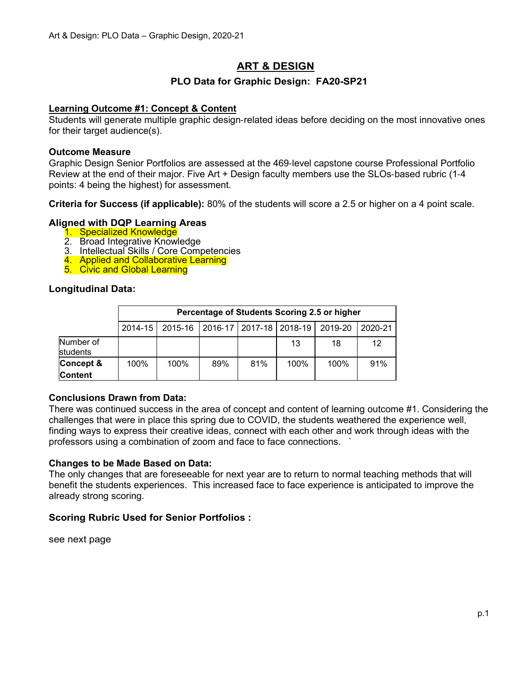# **ART & DESIGN**

# **PLO Data for Graphic Design: FA20-SP21**

# **Learning Outcome #1: Concept & Content**

Students will generate multiple graphic design‐related ideas before deciding on the most innovative ones for their target audience(s).

### **Outcome Measure**

Graphic Design Senior Portfolios are assessed at the 469‐level capstone course Professional Portfolio Review at the end of their major. Five Art + Design faculty members use the SLOs‐based rubric (1‐4 points: 4 being the highest) for assessment.

**Criteria for Success (if applicable):** 80% of the students will score a 2.5 or higher on a 4 point scale.

### **Aligned with DQP Learning Areas**

- 1. Specialized Knowledge
- 2. Broad Integrative Knowledge
- 3. Intellectual Skills / Core Competencies
- 4. Applied and Collaborative Learning
- 5. Civic and Global Learning

### **Longitudinal Data:**

|                       | Percentage of Students Scoring 2.5 or higher |                                                           |     |     |      |      |         |  |
|-----------------------|----------------------------------------------|-----------------------------------------------------------|-----|-----|------|------|---------|--|
|                       |                                              | 2014-15   2015-16   2016-17   2017-18   2018-19   2019-20 |     |     |      |      | 2020-21 |  |
| Number of<br>students |                                              |                                                           |     |     | 13   | 18   | 12      |  |
| Concept &             | 100%                                         | 100%                                                      | 89% | 81% | 100% | 100% | 91%     |  |
| <b>Content</b>        |                                              |                                                           |     |     |      |      |         |  |

### **Conclusions Drawn from Data:**

There was continued success in the area of concept and content of learning outcome #1. Considering the challenges that were in place this spring due to COVID, the students weathered the experience well, finding ways to express their creative ideas, connect with each other and work through ideas with the professors using a combination of zoom and face to face connections. `

### **Changes to be Made Based on Data:**

The only changes that are foreseeable for next year are to return to normal teaching methods that will benefit the students experiences. This increased face to face experience is anticipated to improve the already strong scoring.

# **Scoring Rubric Used for Senior Portfolios :**

see next page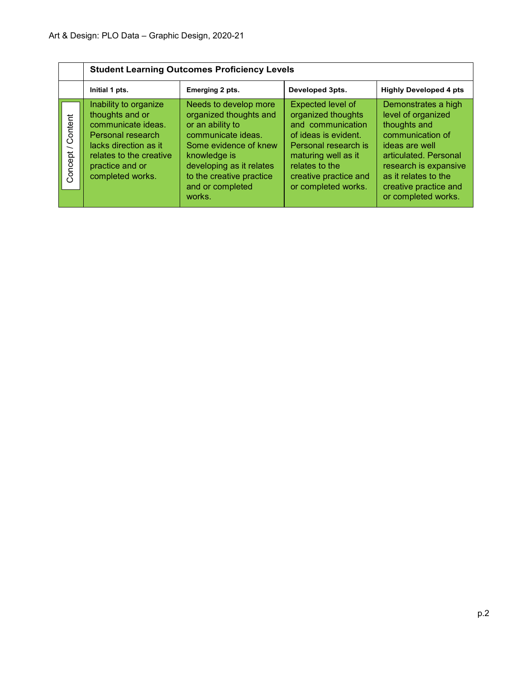|                                                | <b>Student Learning Outcomes Proficiency Levels</b>                                                                                                                            |                                                                                                                                                                                                                          |                                                                                                                                                                                                       |                                                                                                                                                                                                                           |  |  |  |  |
|------------------------------------------------|--------------------------------------------------------------------------------------------------------------------------------------------------------------------------------|--------------------------------------------------------------------------------------------------------------------------------------------------------------------------------------------------------------------------|-------------------------------------------------------------------------------------------------------------------------------------------------------------------------------------------------------|---------------------------------------------------------------------------------------------------------------------------------------------------------------------------------------------------------------------------|--|--|--|--|
|                                                | Initial 1 pts.                                                                                                                                                                 | Emerging 2 pts.                                                                                                                                                                                                          | Developed 3pts.                                                                                                                                                                                       | <b>Highly Developed 4 pts</b>                                                                                                                                                                                             |  |  |  |  |
| Content<br>$\overline{\phantom{0}}$<br>Concept | Inability to organize<br>thoughts and or<br>communicate ideas.<br>Personal research<br>lacks direction as it<br>relates to the creative<br>practice and or<br>completed works. | Needs to develop more<br>organized thoughts and<br>or an ability to<br>communicate ideas.<br>Some evidence of knew<br>knowledge is<br>developing as it relates<br>to the creative practice<br>and or completed<br>works. | Expected level of<br>organized thoughts<br>and communication<br>of ideas is evident.<br>Personal research is<br>maturing well as it<br>relates to the<br>creative practice and<br>or completed works. | Demonstrates a high<br>level of organized<br>thoughts and<br>communication of<br>ideas are well<br>articulated. Personal<br>research is expansive<br>as it relates to the<br>creative practice and<br>or completed works. |  |  |  |  |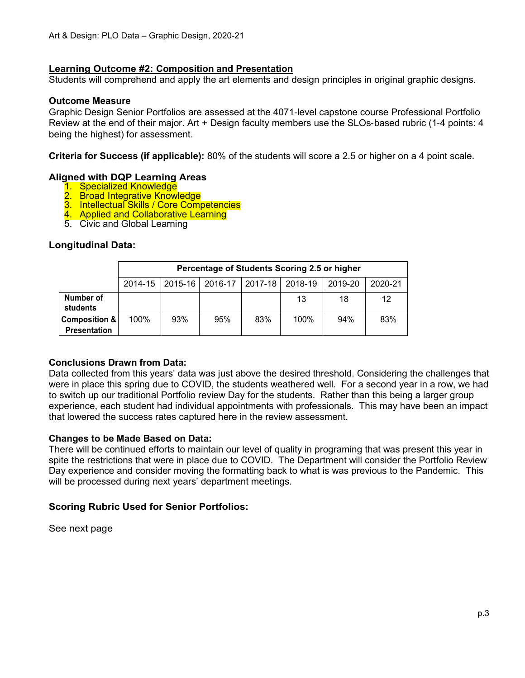### **Learning Outcome #2: Composition and Presentation**

Students will comprehend and apply the art elements and design principles in original graphic designs.

### **Outcome Measure**

Graphic Design Senior Portfolios are assessed at the 4071‐level capstone course Professional Portfolio Review at the end of their major. Art + Design faculty members use the SLOs‐based rubric (1‐4 points: 4 being the highest) for assessment.

**Criteria for Success (if applicable):** 80% of the students will score a 2.5 or higher on a 4 point scale.

### **Aligned with DQP Learning Areas**

- 1. Specialized Knowledge
- 2. Broad Integrative Knowledge
- 3. Intellectual Skills / Core Competencies
- 4. Applied and Collaborative Learning
- 5. Civic and Global Learning

### **Longitudinal Data:**

|                                      | Percentage of Students Scoring 2.5 or higher |             |                 |     |         |         |         |
|--------------------------------------|----------------------------------------------|-------------|-----------------|-----|---------|---------|---------|
|                                      | 2014-15                                      | $2015 - 16$ | 2016-17 2017-18 |     | 2018-19 | 2019-20 | 2020-21 |
| Number of<br>students                |                                              |             |                 |     | 13      | 18      | 12      |
| Composition &<br><b>Presentation</b> | 100%                                         | 93%         | 95%             | 83% | 100%    | 94%     | 83%     |

### **Conclusions Drawn from Data:**

Data collected from this years' data was just above the desired threshold. Considering the challenges that were in place this spring due to COVID, the students weathered well. For a second year in a row, we had to switch up our traditional Portfolio review Day for the students. Rather than this being a larger group experience, each student had individual appointments with professionals. This may have been an impact that lowered the success rates captured here in the review assessment.

### **Changes to be Made Based on Data:**

There will be continued efforts to maintain our level of quality in programing that was present this year in spite the restrictions that were in place due to COVID. The Department will consider the Portfolio Review Day experience and consider moving the formatting back to what is was previous to the Pandemic. This will be processed during next years' department meetings.

# **Scoring Rubric Used for Senior Portfolios:**

See next page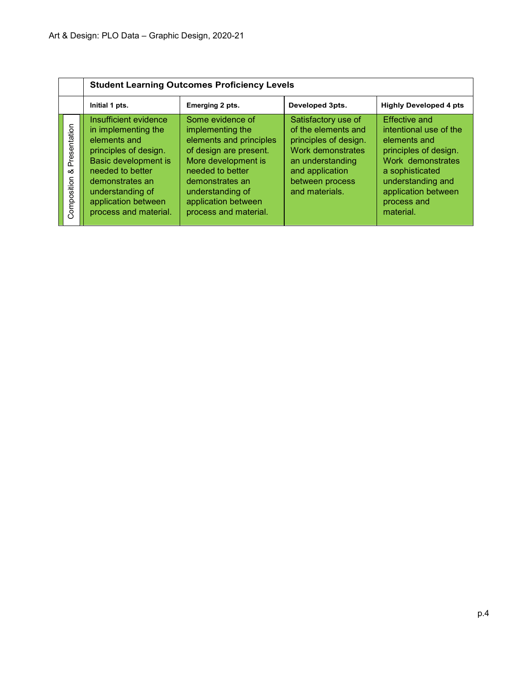|                                  | <b>Student Learning Outcomes Proficiency Levels</b>                                                                                                                                                                      |                                                                                                                                                                                                                             |                                                                                                                                                                      |                                                                                                                                                                                                         |  |  |  |  |
|----------------------------------|--------------------------------------------------------------------------------------------------------------------------------------------------------------------------------------------------------------------------|-----------------------------------------------------------------------------------------------------------------------------------------------------------------------------------------------------------------------------|----------------------------------------------------------------------------------------------------------------------------------------------------------------------|---------------------------------------------------------------------------------------------------------------------------------------------------------------------------------------------------------|--|--|--|--|
|                                  | Initial 1 pts.                                                                                                                                                                                                           | Emerging 2 pts.                                                                                                                                                                                                             | Developed 3pts.                                                                                                                                                      | <b>Highly Developed 4 pts</b>                                                                                                                                                                           |  |  |  |  |
| Presentation<br>య<br>Composition | Insufficient evidence<br>in implementing the<br>elements and<br>principles of design.<br>Basic development is<br>needed to better<br>demonstrates an<br>understanding of<br>application between<br>process and material. | Some evidence of<br>implementing the<br>elements and principles<br>of design are present.<br>More development is<br>needed to better<br>demonstrates an<br>understanding of<br>application between<br>process and material. | Satisfactory use of<br>of the elements and<br>principles of design.<br>Work demonstrates<br>an understanding<br>and application<br>between process<br>and materials. | <b>Effective and</b><br>intentional use of the<br>elements and<br>principles of design.<br>Work demonstrates<br>a sophisticated<br>understanding and<br>application between<br>process and<br>material. |  |  |  |  |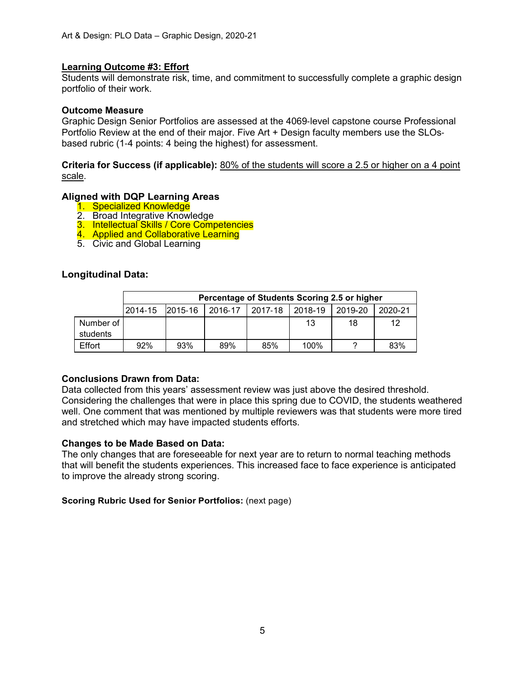### **Learning Outcome #3: Effort**

Students will demonstrate risk, time, and commitment to successfully complete a graphic design portfolio of their work.

### **Outcome Measure**

Graphic Design Senior Portfolios are assessed at the 4069‐level capstone course Professional Portfolio Review at the end of their major. Five Art + Design faculty members use the SLOs‐ based rubric (1‐4 points: 4 being the highest) for assessment.

**Criteria for Success (if applicable):** 80% of the students will score a 2.5 or higher on a 4 point scale.

### **Aligned with DQP Learning Areas**

- 1. Specialized Knowledge
- 2. Broad Integrative Knowledge
- 3. Intellectual Skills / Core Competencies
- 4. Applied and Collaborative Learning
- 5. Civic and Global Learning

### **Longitudinal Data:**

|           | Percentage of Students Scoring 2.5 or higher |         |         |                 |      |         |         |
|-----------|----------------------------------------------|---------|---------|-----------------|------|---------|---------|
|           | 2014-15                                      | 2015-16 | 2016-17 | 2017-18 2018-19 |      | 2019-20 | 2020-21 |
| Number of |                                              |         |         |                 | 13   | 18      | 12      |
| students  |                                              |         |         |                 |      |         |         |
| Effort    | 92%                                          | 93%     | 89%     | 85%             | 100% |         | 83%     |

# **Conclusions Drawn from Data:**

Data collected from this years' assessment review was just above the desired threshold. Considering the challenges that were in place this spring due to COVID, the students weathered well. One comment that was mentioned by multiple reviewers was that students were more tired and stretched which may have impacted students efforts.

### **Changes to be Made Based on Data:**

The only changes that are foreseeable for next year are to return to normal teaching methods that will benefit the students experiences. This increased face to face experience is anticipated to improve the already strong scoring.

### **Scoring Rubric Used for Senior Portfolios:** (next page)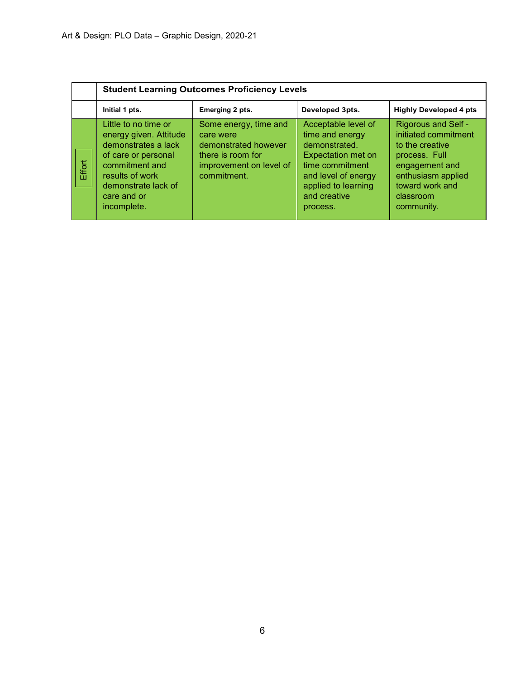|        | <b>Student Learning Outcomes Proficiency Levels</b>                                                                                                                                    |                                                                                                                           |                                                                                                                                                                                   |                                                                                                                                                                              |  |  |  |
|--------|----------------------------------------------------------------------------------------------------------------------------------------------------------------------------------------|---------------------------------------------------------------------------------------------------------------------------|-----------------------------------------------------------------------------------------------------------------------------------------------------------------------------------|------------------------------------------------------------------------------------------------------------------------------------------------------------------------------|--|--|--|
|        | Initial 1 pts.                                                                                                                                                                         | Emerging 2 pts.                                                                                                           | Developed 3pts.                                                                                                                                                                   | <b>Highly Developed 4 pts</b>                                                                                                                                                |  |  |  |
| Effort | Little to no time or<br>energy given. Attitude<br>demonstrates a lack<br>of care or personal<br>commitment and<br>results of work<br>demonstrate lack of<br>care and or<br>incomplete. | Some energy, time and<br>care were<br>demonstrated however<br>there is room for<br>improvement on level of<br>commitment. | Acceptable level of<br>time and energy<br>demonstrated.<br><b>Expectation met on</b><br>time commitment<br>and level of energy<br>applied to learning<br>and creative<br>process. | <b>Rigorous and Self -</b><br>initiated commitment<br>to the creative<br>process. Full<br>engagement and<br>enthusiasm applied<br>toward work and<br>classroom<br>community. |  |  |  |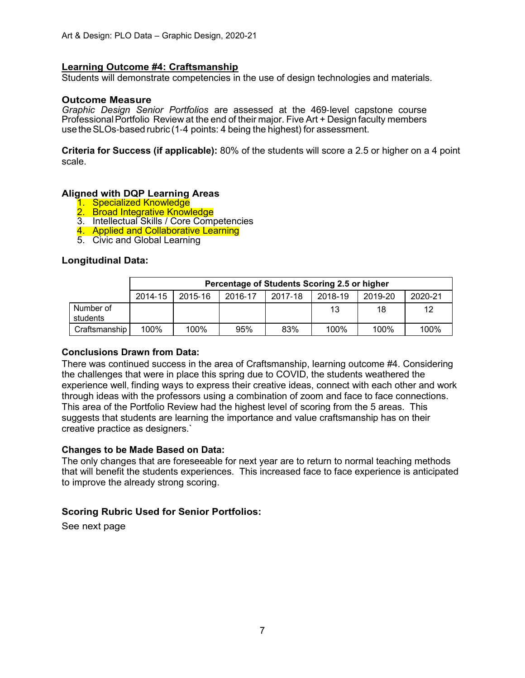### **Learning Outcome #4: Craftsmanship**

Students will demonstrate competencies in the use of design technologies and materials.

#### **Outcome Measure**

*Graphic Design Senior Portfolios* are assessed at the 469‐level capstone course ProfessionalPortfolio Review at the end of their major. Five Art + Design faculty members use theSLOs‐based rubric (1‐4 points: 4 being the highest) for assessment.

**Criteria for Success (if applicable):** 80% of the students will score a 2.5 or higher on a 4 point scale.

### **Aligned with DQP Learning Areas**

- 1. Specialized Knowledge
- 2. Broad Integrative Knowledge
- 3. Intellectual Skills / Core Competencies
- 4. Applied and Collaborative Learning
- 5. Civic and Global Learning

### **Longitudinal Data:**

|                       | Percentage of Students Scoring 2.5 or higher |         |         |         |         |         |         |
|-----------------------|----------------------------------------------|---------|---------|---------|---------|---------|---------|
|                       | 2014-15                                      | 2015-16 | 2016-17 | 2017-18 | 2018-19 | 2019-20 | 2020-21 |
| Number of<br>students |                                              |         |         |         | 13      | 18      | 12      |
| Craftsmanship         | 100%                                         | 100%    | 95%     | 83%     | 100%    | $100\%$ | 100%    |

### **Conclusions Drawn from Data:**

There was continued success in the area of Craftsmanship, learning outcome #4. Considering the challenges that were in place this spring due to COVID, the students weathered the experience well, finding ways to express their creative ideas, connect with each other and work through ideas with the professors using a combination of zoom and face to face connections. This area of the Portfolio Review had the highest level of scoring from the 5 areas. This suggests that students are learning the importance and value craftsmanship has on their creative practice as designers.`

### **Changes to be Made Based on Data:**

The only changes that are foreseeable for next year are to return to normal teaching methods that will benefit the students experiences. This increased face to face experience is anticipated to improve the already strong scoring.

# **Scoring Rubric Used for Senior Portfolios:**

See next page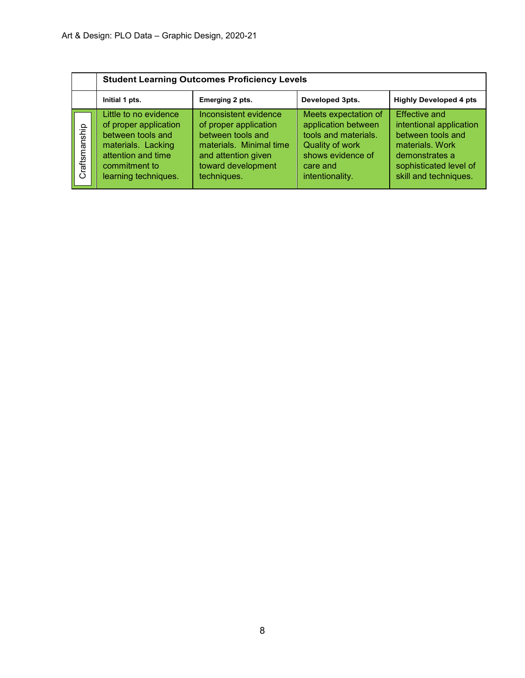|               | <b>Student Learning Outcomes Proficiency Levels</b>                                                                                                      |                                                                                                                                                            |                                                                                                                                            |                                                                                                                                                              |  |  |  |
|---------------|----------------------------------------------------------------------------------------------------------------------------------------------------------|------------------------------------------------------------------------------------------------------------------------------------------------------------|--------------------------------------------------------------------------------------------------------------------------------------------|--------------------------------------------------------------------------------------------------------------------------------------------------------------|--|--|--|
|               | Initial 1 pts.                                                                                                                                           | Emerging 2 pts.                                                                                                                                            | Developed 3pts.                                                                                                                            | <b>Highly Developed 4 pts</b>                                                                                                                                |  |  |  |
| Craftsmanship | Little to no evidence<br>of proper application<br>between tools and<br>materials. Lacking<br>attention and time<br>commitment to<br>learning techniques. | Inconsistent evidence<br>of proper application<br>between tools and<br>materials. Minimal time<br>and attention given<br>toward development<br>techniques. | Meets expectation of<br>application between<br>tools and materials.<br>Quality of work<br>shows evidence of<br>care and<br>intentionality. | <b>Effective and</b><br>intentional application<br>between tools and<br>materials, Work<br>demonstrates a<br>sophisticated level of<br>skill and techniques. |  |  |  |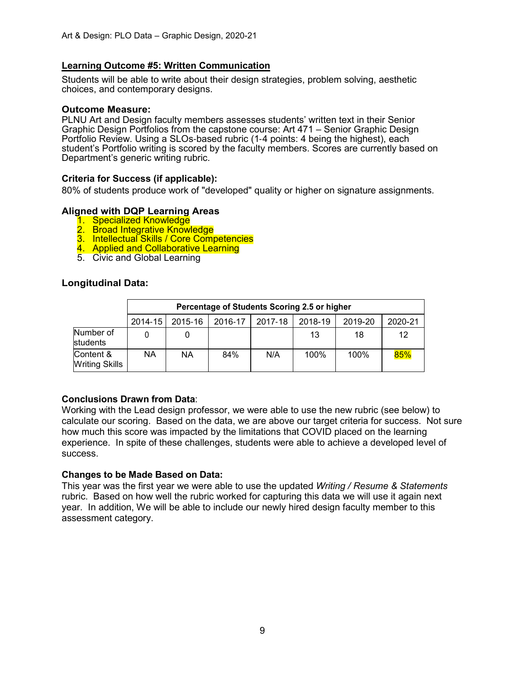# **Learning Outcome #5: Written Communication**

Students will be able to write about their design strategies, problem solving, aesthetic choices, and contemporary designs.

#### **Outcome Measure:**

PLNU Art and Design faculty members assesses students' written text in their Senior Graphic Design Portfolios from the capstone course: Art 471 – Senior Graphic Design Portfolio Review. Using a SLOs-based rubric (1-4 points: 4 being the highest), each student's Portfolio writing is scored by the faculty members. Scores are currently based on Department's generic writing rubric.

### **Criteria for Success (if applicable):**

80% of students produce work of "developed" quality or higher on signature assignments.

### **Aligned with DQP Learning Areas**

- 1. Specialized Knowledge
- 2. Broad Integrative Knowledge
- 3. Intellectual Skills / Core Competencies
- 4. Applied and Collaborative Learning
- 5. Civic and Global Learning

#### **Longitudinal Data:**

|                             | Percentage of Students Scoring 2.5 or higher |           |         |         |         |         |         |
|-----------------------------|----------------------------------------------|-----------|---------|---------|---------|---------|---------|
|                             | 2014-15                                      | 2015-16   | 2016-17 | 2017-18 | 2018-19 | 2019-20 | 2020-21 |
| Number of<br>students       |                                              |           |         |         | 13      | 18      | 12      |
| Content &<br>Writing Skills | ΝA                                           | <b>NA</b> | 84%     | N/A     | 100%    | 100%    | 85%     |

### **Conclusions Drawn from Data**:

Working with the Lead design professor, we were able to use the new rubric (see below) to calculate our scoring. Based on the data, we are above our target criteria for success. Not sure how much this score was impacted by the limitations that COVID placed on the learning experience. In spite of these challenges, students were able to achieve a developed level of success.

### **Changes to be Made Based on Data:**

This year was the first year we were able to use the updated *Writing / Resume & Statements* rubric. Based on how well the rubric worked for capturing this data we will use it again next year. In addition, We will be able to include our newly hired design faculty member to this assessment category.